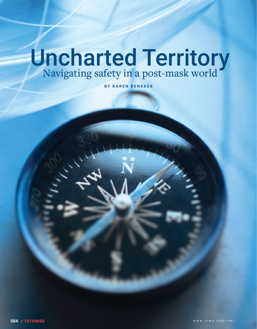# Uncharted Territory<br>Navigating safety in a post-mask world

**BY KAREN BENEDEK**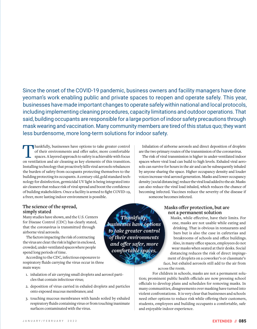# Since the onset of the COVID-19 pandemic, business owners and facility managers have done yeoman's work enabling public and private spaces to reopen and operate safely. This year, businesses have made important changes to operate safely within national and local protocols, including implementing cleaning procedures, capacity limitations and outdoor operations. That said, building occupants are responsible for a large portion of indoor safety precautions through mask wearing and vaccination. Many community members are tired of this status quo; they want less burdensome, more long-term solutions for indoor safety.

Thankfully, businesses have options to take greater control<br>of their environments and offer safer, more comfortable<br>spaces. A layered approach to safety is achievable with focus<br>on ventilation and air cleaning as key eleme of their environments and offer safer, more comfortable spaces. A layered approach to safety is achievable with focus on ventilation and air cleaning as key elements of this transition. Installing technology that proactively kills viral aerosols rebalances the burden of safety from occupants protecting themselves to the building protecting its occupants. A century-old, gold standard technology for disinfection, germicidal UV light is being integrated into air cleaners that reduce risk of viral spread and boost the confidence of building stakeholders. Once a facility is armed to fight COVID-19, a freer, more lasting indoor environment is possible.

Inhalation of airborne aerosols and direct deposition of droplets are the two primary routes of the transmission of the coronavirus.

The risk of viral transmission is higher in under-ventilated indoor spaces where viral load can build to high levels. Exhaled viral aerosols can survive for hours in the air and can be subsequently inhaled by anyone sharing the space. Higher occupancy density and louder voices increase viral aerosol generation. Masks and lower occupancy density (social distancing) reduce the viral load added to the air. Masks can also reduce the viral load inhaled, which reduces the chance of becoming infected. Vaccines reduce the severity of the disease if someone becomes infected.

**The science of the spread, simply stated**

Many studies have shown, and the U.S. Centers for Disease Control (CDC) has clearly stated, that the coronavirus is transmitted through airborne viral aerosols.

The factors impacting the risk of contracting the virus are clear: the risk is higher in enclosed, crowded, under-ventilated spaces where people spend long periods of time.

According to the CDC, infectious exposures to respiratory fluids carrying the virus occur in three main ways:

- 1. inhalation of air carrying small droplets and aerosol particles that contain infectious virus;
- 2. deposition of virus carried in exhaled droplets and particles onto exposed mucous membranes; and
- 3. touching mucous membranes with hands soiled by exhaled respiratory fluids containing virus or from touching inanimate surfaces contaminated with the virus.

*Thankfully, businesses have options to take greater control of their environments and offer safer, more comfortable spaces.*

# **Masks offer protection, but are not a permanent solution**

Masks, while effective, have their limits. For one, masks are not usable while eating and drinking. That is obvious in restaurants and bars but is also the case in cafeterias and breakrooms of schools and office buildings. Also, in many office spaces, employees do not wear masks when seated at their desks. Social distancing reduces the risk of direct impingement of droplets on a coworker's or classmate's

face, but exhaled aerosols still add to the air from across the room.

For children in schools, masks are not a permanent solution; prominent public health officials are now pressing school officials to develop plans and schedules for removing masks. In many communities, disagreements over masking have turned into violent confrontations. It is very clear that businesses and schools need other options to reduce risk while offering their customers, students, employees and building occupants a comfortable, safe and enjoyable indoor experience.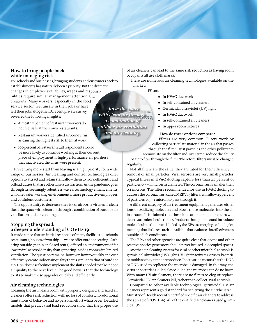## **How to bring people back while managing risk**

For schools and businesses, bringing students and customers back to establishments has naturally been a priority. But the dramatic changes in employee availability, wages and responsibilities require similar management attention and creativity. Many workers, especially in the food service sector, feel unsafe in their jobs or have left their jobs altogether. A recent private survey revealed the following insights:

- Almost 20 percent of restaurant workers do not feel safe at their own restaurants.
- $\bullet$  Restaurant workers identified airborne virus as causing the highest risk to them at work.
- 100 percent of restaurant staff respondents would be more likely to continue working at their current place of employment if high-performance air purifiers that inactivated the virus were present.

Preventing more staff from leaving is a high priority for a wide range of businesses. Air cleaning and control technologies offer options to attract and retain staff, allow them to work efficiently and offload duties that are otherwise a distraction. As the pandemic goes through its seemingly relentless waves, technology enhancements will offer safer working environments, more productive employees and confident customers.

The opportunity to decrease the risk of airborne viruses is clear: flush the space with clean air through a combination of outdoor air ventilation and air cleaning.

# **Stopping the spread: a deeper understanding of COVID-19**

It made sense that an initial response of many facilities — schools, restaurants, houses of worship — was to offer outdoor seating. Gathering outside (not in enclosed tents) offered an environment of far lower viral aerosol density than gathering inside a room with limited ventilation. The question remains, however, how to quickly and cost effectively create indoor air quality that is similar to that of outdoor air? How do these facilities implement the shifts needed to take indoor air quality to the next level? The good news is that the technology exists to make these upgrades quickly and efficiently.

# **Air cleaning technologies**

Cleaning the air in each room with properly designed and sized air cleaners offers risk reduction with no loss of comfort, no additional limitations of behavior and no personal effort whatsoever. Detailed models that predict viral load reduction show that the proper use

of air cleaners can lead to the same risk reduction as having room occupants all use cloth masks.

There are numerous air cleaning technologies available on the market:

### **Filters**

- In HVAC ductwork
- In self-contained air cleaners
- Germicidal ultraviolet (UV) light
- In HVAC ductwork
- In self-contained air cleaners
- In upper room fixtures

### **How do these options compare?**

Filters are very common. Filters work by collecting particulate material in the air that passes through the filter. Dust particles and other pollutants

accumulate on the filter and, over time, reduce the ability of air to flow through the filter. Therefore, filters must be changed regularly.

Not all filters are the same; they are rated for their efficiency in removal of small particles. Viral aerosols are very small particles. Typical filters in HVAC ducting capture less than 20 percent of particles 0.3 – 1 micron in diameter. The coronavirus is smaller than 0.1 microns. The filters recommended for use in HVAC ducting to address the coronavirus, called MERV 13 filters, will allow 25 percent of particles 0.3 – 1 micron to pass through it.

A different category of air treatment equipment generates either ions or oxidizing molecules and blows those molecules into the air in a room. It is claimed that these ions or oxidizing molecules will deactivate microbes in the air. Products that generate and introduce molecules into the air are labeled by the EPA as emerging technologies, meaning that little research is available that evaluates its effectiveness outside of lab conditions.

The EPA and other agencies are quite clear that ozone and other reactive species generators should never be used in occupied spaces.

Another air cleaning system for viral or other microbial aerosols is germicidal ultraviolet (UV) light. UV light inactivates viruses, bacteria or molds so they cannot reproduce. Inactivation means that the DNA or RNA used to replicate the microbe is damaged. In this way, the virus or bacteria is killed. Once killed, the microbes can do no harm. With many UV air cleaners, there are no filters to clog or replace. Germicidal UV air cleaners kill, rather than collect, viral aerosols.

Compared to other available technologies, germicidal UV air cleaners represent a gold standard for sanitizing the air. The Israeli Ministry of Health recently certified specific air cleaners to address the spread of COVID-19. All of the certified air cleaners used germicidal UV.

**collection of the space of the space of the space of the space of the space of the space of the space of the space of the space of the space of the space of the space of the space of the space of the space of the space of** *with clean air through a combination of outdoor air ventilation and air cleaning.*